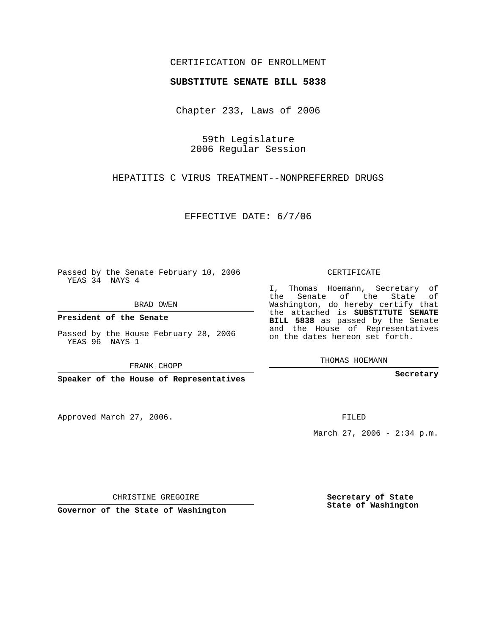## CERTIFICATION OF ENROLLMENT

## **SUBSTITUTE SENATE BILL 5838**

Chapter 233, Laws of 2006

59th Legislature 2006 Regular Session

HEPATITIS C VIRUS TREATMENT--NONPREFERRED DRUGS

EFFECTIVE DATE: 6/7/06

Passed by the Senate February 10, 2006 YEAS 34 NAYS 4

BRAD OWEN

**President of the Senate**

Passed by the House February 28, 2006 YEAS 96 NAYS 1

FRANK CHOPP

**Speaker of the House of Representatives**

Approved March 27, 2006.

CERTIFICATE

I, Thomas Hoemann, Secretary of the Senate of the State of Washington, do hereby certify that the attached is **SUBSTITUTE SENATE BILL 5838** as passed by the Senate and the House of Representatives on the dates hereon set forth.

THOMAS HOEMANN

**Secretary**

FILED

March 27, 2006 - 2:34 p.m.

CHRISTINE GREGOIRE

**Governor of the State of Washington**

**Secretary of State State of Washington**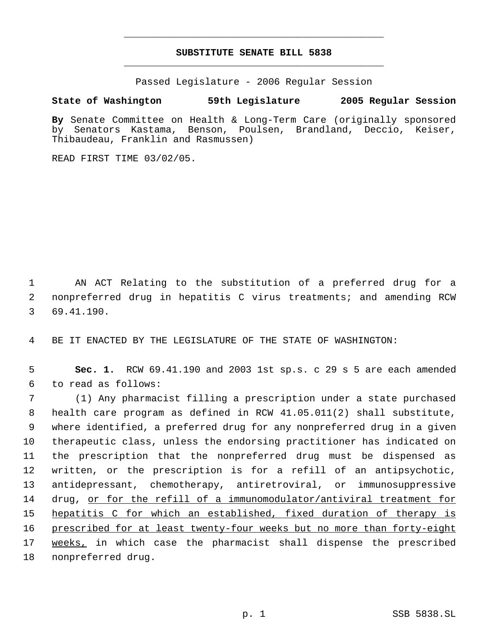## **SUBSTITUTE SENATE BILL 5838** \_\_\_\_\_\_\_\_\_\_\_\_\_\_\_\_\_\_\_\_\_\_\_\_\_\_\_\_\_\_\_\_\_\_\_\_\_\_\_\_\_\_\_\_\_

\_\_\_\_\_\_\_\_\_\_\_\_\_\_\_\_\_\_\_\_\_\_\_\_\_\_\_\_\_\_\_\_\_\_\_\_\_\_\_\_\_\_\_\_\_

Passed Legislature - 2006 Regular Session

## **State of Washington 59th Legislature 2005 Regular Session**

**By** Senate Committee on Health & Long-Term Care (originally sponsored by Senators Kastama, Benson, Poulsen, Brandland, Deccio, Keiser, Thibaudeau, Franklin and Rasmussen)

READ FIRST TIME 03/02/05.

 1 AN ACT Relating to the substitution of a preferred drug for a 2 nonpreferred drug in hepatitis C virus treatments; and amending RCW 3 69.41.190.

4 BE IT ENACTED BY THE LEGISLATURE OF THE STATE OF WASHINGTON:

 5 **Sec. 1.** RCW 69.41.190 and 2003 1st sp.s. c 29 s 5 are each amended 6 to read as follows:

 (1) Any pharmacist filling a prescription under a state purchased health care program as defined in RCW 41.05.011(2) shall substitute, where identified, a preferred drug for any nonpreferred drug in a given therapeutic class, unless the endorsing practitioner has indicated on the prescription that the nonpreferred drug must be dispensed as written, or the prescription is for a refill of an antipsychotic, antidepressant, chemotherapy, antiretroviral, or immunosuppressive drug, or for the refill of a immunomodulator/antiviral treatment for hepatitis C for which an established, fixed duration of therapy is 16 prescribed for at least twenty-four weeks but no more than forty-eight 17 weeks, in which case the pharmacist shall dispense the prescribed nonpreferred drug.